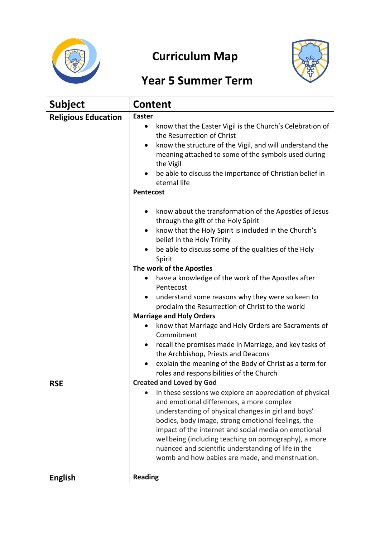

# **Curriculum Map**



## **Year 5 Summer Term**

| <b>Subject</b>             | <b>Content</b>                                                                                                               |
|----------------------------|------------------------------------------------------------------------------------------------------------------------------|
| <b>Religious Education</b> | <b>Easter</b>                                                                                                                |
|                            | know that the Easter Vigil is the Church's Celebration of<br>٠<br>the Resurrection of Christ                                 |
|                            | know the structure of the Vigil, and will understand the<br>meaning attached to some of the symbols used during<br>the Vigil |
|                            | be able to discuss the importance of Christian belief in<br>eternal life                                                     |
|                            | <b>Pentecost</b>                                                                                                             |
|                            | know about the transformation of the Apostles of Jesus<br>٠<br>through the gift of the Holy Spirit                           |
|                            | know that the Holy Spirit is included in the Church's<br>٠<br>belief in the Holy Trinity                                     |
|                            | be able to discuss some of the qualities of the Holy<br>Spirit                                                               |
|                            | The work of the Apostles                                                                                                     |
|                            | have a knowledge of the work of the Apostles after<br>Pentecost                                                              |
|                            | understand some reasons why they were so keen to<br>proclaim the Resurrection of Christ to the world                         |
|                            | <b>Marriage and Holy Orders</b>                                                                                              |
|                            | know that Marriage and Holy Orders are Sacraments of<br>Commitment                                                           |
|                            | recall the promises made in Marriage, and key tasks of                                                                       |
|                            | the Archbishop, Priests and Deacons<br>explain the meaning of the Body of Christ as a term for                               |
|                            | roles and responsibilities of the Church                                                                                     |
| <b>RSE</b>                 | <b>Created and Loved by God</b>                                                                                              |
|                            | In these sessions we explore an appreciation of physical                                                                     |
|                            | and emotional differences, a more complex                                                                                    |
|                            | understanding of physical changes in girl and boys'                                                                          |
|                            | bodies, body image, strong emotional feelings, the<br>impact of the internet and social media on emotional                   |
|                            | wellbeing (including teaching on pornography), a more                                                                        |
|                            | nuanced and scientific understanding of life in the                                                                          |
|                            | womb and how babies are made, and menstruation.                                                                              |
| <b>English</b>             | <b>Reading</b>                                                                                                               |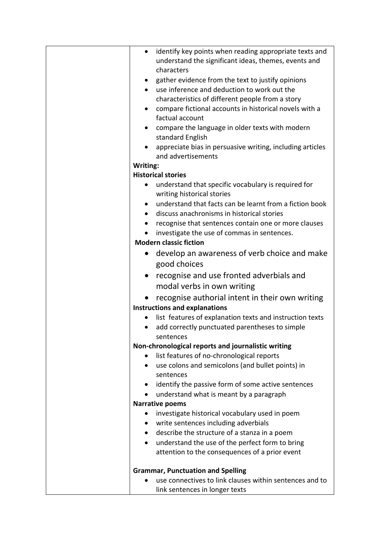| $\bullet$ | identify key points when reading appropriate texts and             |
|-----------|--------------------------------------------------------------------|
|           | understand the significant ideas, themes, events and<br>characters |
|           | gather evidence from the text to justify opinions                  |
|           | use inference and deduction to work out the                        |
|           | characteristics of different people from a story                   |
| ٠         | compare fictional accounts in historical novels with a             |
|           | factual account                                                    |
|           | compare the language in older texts with modern                    |
|           | standard English                                                   |
|           | appreciate bias in persuasive writing, including articles          |
|           | and advertisements                                                 |
| Writing:  |                                                                    |
|           | <b>Historical stories</b>                                          |
| ٠         | understand that specific vocabulary is required for                |
|           | writing historical stories                                         |
| $\bullet$ | understand that facts can be learnt from a fiction book            |
| $\bullet$ | discuss anachronisms in historical stories                         |
|           | recognise that sentences contain one or more clauses               |
|           | investigate the use of commas in sentences.                        |
|           | <b>Modern classic fiction</b>                                      |
| $\bullet$ | develop an awareness of verb choice and make                       |
|           | good choices                                                       |
| $\bullet$ | recognise and use fronted adverbials and                           |
|           | modal verbs in own writing                                         |
|           | recognise authorial intent in their own writing                    |
|           | <b>Instructions and explanations</b>                               |
|           | list features of explanation texts and instruction texts           |
|           | add correctly punctuated parentheses to simple                     |
|           | sentences                                                          |
|           | Non-chronological reports and journalistic writing                 |
| ٠         | list features of no-chronological reports                          |
| ٠         | use colons and semicolons (and bullet points) in                   |
|           | sentences                                                          |
| $\bullet$ | identify the passive form of some active sentences                 |
| $\bullet$ | understand what is meant by a paragraph                            |
|           | <b>Narrative poems</b>                                             |
| $\bullet$ | investigate historical vocabulary used in poem                     |
| ٠         | write sentences including adverbials                               |
| $\bullet$ | describe the structure of a stanza in a poem                       |
|           | understand the use of the perfect form to bring                    |
|           | attention to the consequences of a prior event                     |
|           | <b>Grammar, Punctuation and Spelling</b>                           |
|           | use connectives to link clauses within sentences and to            |
|           | link sentences in longer texts                                     |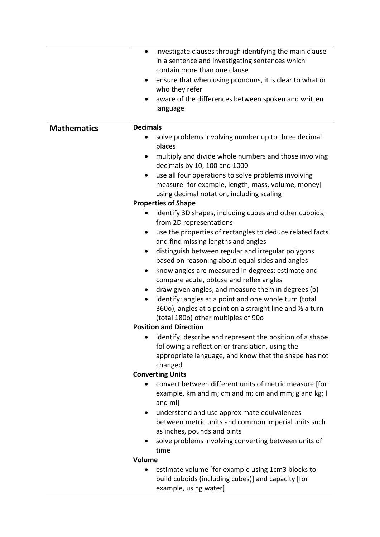|                    | investigate clauses through identifying the main clause<br>$\bullet$  |
|--------------------|-----------------------------------------------------------------------|
|                    |                                                                       |
|                    | in a sentence and investigating sentences which                       |
|                    | contain more than one clause                                          |
|                    | ensure that when using pronouns, it is clear to what or<br>٠          |
|                    | who they refer                                                        |
|                    | aware of the differences between spoken and written                   |
|                    | language                                                              |
|                    |                                                                       |
| <b>Mathematics</b> | <b>Decimals</b>                                                       |
|                    | solve problems involving number up to three decimal                   |
|                    | places                                                                |
|                    | multiply and divide whole numbers and those involving                 |
|                    | decimals by 10, 100 and 1000                                          |
|                    | use all four operations to solve problems involving                   |
|                    | measure [for example, length, mass, volume, money]                    |
|                    | using decimal notation, including scaling                             |
|                    | <b>Properties of Shape</b>                                            |
|                    | identify 3D shapes, including cubes and other cuboids,                |
|                    | from 2D representations                                               |
|                    |                                                                       |
|                    | use the properties of rectangles to deduce related facts<br>$\bullet$ |
|                    | and find missing lengths and angles                                   |
|                    | distinguish between regular and irregular polygons                    |
|                    | based on reasoning about equal sides and angles                       |
|                    | know angles are measured in degrees: estimate and<br>$\bullet$        |
|                    | compare acute, obtuse and reflex angles                               |
|                    | draw given angles, and measure them in degrees (o)                    |
|                    | identify: angles at a point and one whole turn (total                 |
|                    | 360o), angles at a point on a straight line and $\frac{1}{2}$ a turn  |
|                    | (total 1800) other multiples of 900                                   |
|                    | <b>Position and Direction</b>                                         |
|                    | identify, describe and represent the position of a shape              |
|                    | following a reflection or translation, using the                      |
|                    | appropriate language, and know that the shape has not                 |
|                    | changed                                                               |
|                    | <b>Converting Units</b>                                               |
|                    | convert between different units of metric measure [for                |
|                    | example, km and m; cm and m; cm and mm; g and kg; I                   |
|                    | and ml]                                                               |
|                    | understand and use approximate equivalences                           |
|                    | between metric units and common imperial units such                   |
|                    | as inches, pounds and pints                                           |
|                    | solve problems involving converting between units of                  |
|                    | time                                                                  |
|                    | Volume                                                                |
|                    |                                                                       |
|                    | estimate volume [for example using 1cm3 blocks to                     |
|                    | build cuboids (including cubes)] and capacity [for                    |
|                    | example, using water]                                                 |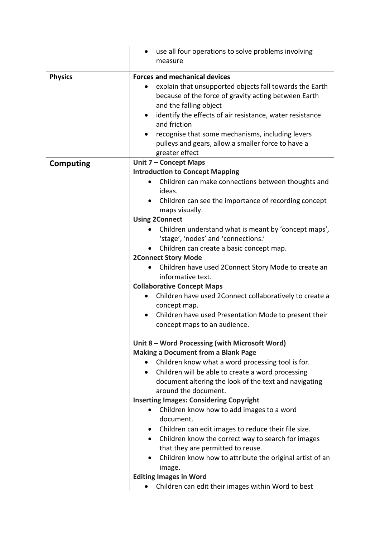|                  | use all four operations to solve problems involving<br>٠                                    |
|------------------|---------------------------------------------------------------------------------------------|
|                  | measure                                                                                     |
| <b>Physics</b>   | <b>Forces and mechanical devices</b>                                                        |
|                  | explain that unsupported objects fall towards the Earth                                     |
|                  | because of the force of gravity acting between Earth                                        |
|                  | and the falling object                                                                      |
|                  | identify the effects of air resistance, water resistance<br>٠                               |
|                  | and friction                                                                                |
|                  | recognise that some mechanisms, including levers                                            |
|                  | pulleys and gears, allow a smaller force to have a<br>greater effect                        |
| <b>Computing</b> | Unit 7 - Concept Maps                                                                       |
|                  | <b>Introduction to Concept Mapping</b>                                                      |
|                  | Children can make connections between thoughts and<br>$\bullet$<br>ideas.                   |
|                  | Children can see the importance of recording concept<br>$\bullet$<br>maps visually.         |
|                  | <b>Using 2Connect</b>                                                                       |
|                  | Children understand what is meant by 'concept maps',                                        |
|                  | 'stage', 'nodes' and 'connections.'                                                         |
|                  | Children can create a basic concept map.                                                    |
|                  | <b>2Connect Story Mode</b>                                                                  |
|                  | Children have used 2Connect Story Mode to create an<br>informative text.                    |
|                  | <b>Collaborative Concept Maps</b>                                                           |
|                  | Children have used 2Connect collaboratively to create a<br>$\bullet$                        |
|                  | concept map.                                                                                |
|                  | Children have used Presentation Mode to present their<br>$\bullet$                          |
|                  | concept maps to an audience.                                                                |
|                  | Unit 8 – Word Processing (with Microsoft Word)                                              |
|                  | <b>Making a Document from a Blank Page</b>                                                  |
|                  | Children know what a word processing tool is for.                                           |
|                  | Children will be able to create a word processing<br>$\bullet$                              |
|                  | document altering the look of the text and navigating                                       |
|                  | around the document.                                                                        |
|                  | <b>Inserting Images: Considering Copyright</b><br>Children know how to add images to a word |
|                  | document.                                                                                   |
|                  | Children can edit images to reduce their file size.                                         |
|                  | Children know the correct way to search for images<br>$\bullet$                             |
|                  | that they are permitted to reuse.                                                           |
|                  | Children know how to attribute the original artist of an<br>$\bullet$                       |
|                  | image.                                                                                      |
|                  | <b>Editing Images in Word</b>                                                               |
|                  | Children can edit their images within Word to best                                          |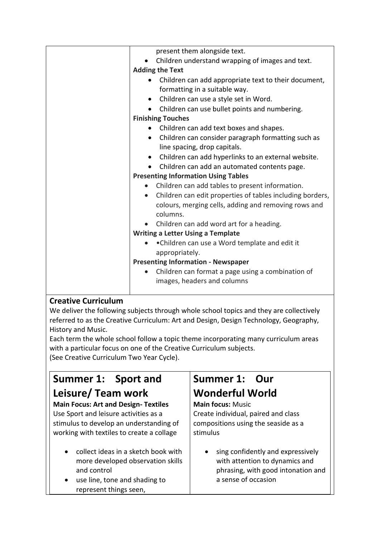| present them alongside text.                                           |
|------------------------------------------------------------------------|
| Children understand wrapping of images and text.                       |
| <b>Adding the Text</b>                                                 |
| Children can add appropriate text to their document,                   |
| formatting in a suitable way.                                          |
| Children can use a style set in Word.<br>$\bullet$                     |
| Children can use bullet points and numbering.                          |
| <b>Finishing Touches</b>                                               |
| • Children can add text boxes and shapes.                              |
| Children can consider paragraph formatting such as<br>$\bullet$        |
| line spacing, drop capitals.                                           |
| Children can add hyperlinks to an external website.<br>$\bullet$       |
| Children can add an automated contents page.                           |
| <b>Presenting Information Using Tables</b>                             |
| Children can add tables to present information.<br>$\bullet$           |
| Children can edit properties of tables including borders,<br>$\bullet$ |
| colours, merging cells, adding and removing rows and                   |
| columns.                                                               |
| Children can add word art for a heading.                               |
| <b>Writing a Letter Using a Template</b>                               |
| • Children can use a Word template and edit it                         |
| appropriately.                                                         |
| <b>Presenting Information - Newspaper</b>                              |
| Children can format a page using a combination of<br>$\bullet$         |
| images, headers and columns                                            |
|                                                                        |

#### **Creative Curriculum**

We deliver the following subjects through whole school topics and they are collectively referred to as the Creative Curriculum: Art and Design, Design Technology, Geography, History and Music.

Each term the whole school follow a topic theme incorporating many curriculum areas with a particular focus on one of the Creative Curriculum subjects.

(See Creative Curriculum Two Year Cycle).

### **Summer 1: Sport and Leisure/ Team work**

#### **Main Focus: Art and Design- Textiles** Use Sport and leisure activities as a stimulus to develop an understanding of working with textiles to create a collage

- collect ideas in a sketch book with more developed observation skills and control
- use line, tone and shading to represent things seen,

### **Summer 1: Our Wonderful World**

#### **Main focus:** Music Create individual, paired and class compositions using the seaside as a stimulus

• sing confidently and expressively with attention to dynamics and phrasing, with good intonation and a sense of occasion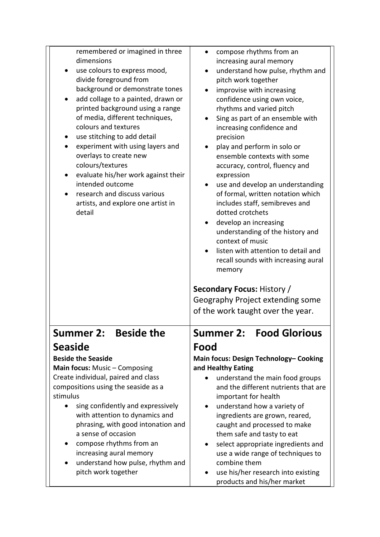| remembered or imagined in three<br>dimensions<br>use colours to express mood,<br>divide foreground from<br>background or demonstrate tones<br>add collage to a painted, drawn or<br>printed background using a range<br>of media, different techniques,<br>colours and textures<br>use stitching to add detail<br>experiment with using layers and<br>overlays to create new<br>colours/textures<br>evaluate his/her work against their<br>intended outcome<br>research and discuss various<br>artists, and explore one artist in<br>detail | compose rhythms from an<br>increasing aural memory<br>understand how pulse, rhythm and<br>pitch work together<br>improvise with increasing<br>confidence using own voice,<br>rhythms and varied pitch<br>Sing as part of an ensemble with<br>increasing confidence and<br>precision<br>play and perform in solo or<br>ensemble contexts with some<br>accuracy, control, fluency and<br>expression<br>use and develop an understanding<br>of formal, written notation which<br>includes staff, semibreves and<br>dotted crotchets<br>develop an increasing<br>understanding of the history and<br>context of music<br>listen with attention to detail and<br>recall sounds with increasing aural<br>memory<br><b>Secondary Focus: History /</b><br>Geography Project extending some<br>of the work taught over the year. |
|---------------------------------------------------------------------------------------------------------------------------------------------------------------------------------------------------------------------------------------------------------------------------------------------------------------------------------------------------------------------------------------------------------------------------------------------------------------------------------------------------------------------------------------------|-------------------------------------------------------------------------------------------------------------------------------------------------------------------------------------------------------------------------------------------------------------------------------------------------------------------------------------------------------------------------------------------------------------------------------------------------------------------------------------------------------------------------------------------------------------------------------------------------------------------------------------------------------------------------------------------------------------------------------------------------------------------------------------------------------------------------|
| <b>Summer 2:</b><br><b>Beside the</b>                                                                                                                                                                                                                                                                                                                                                                                                                                                                                                       | <b>Summer 2: Food Glorious</b>                                                                                                                                                                                                                                                                                                                                                                                                                                                                                                                                                                                                                                                                                                                                                                                          |
| <b>Seaside</b><br><b>Beside the Seaside</b><br>Main focus: Music - Composing<br>Create individual, paired and class<br>compositions using the seaside as a<br>stimulus<br>sing confidently and expressively<br>$\bullet$<br>with attention to dynamics and<br>phrasing, with good intonation and<br>a sense of occasion                                                                                                                                                                                                                     | Food<br>Main focus: Design Technology- Cooking<br>and Healthy Eating<br>understand the main food groups<br>and the different nutrients that are<br>important for health<br>understand how a variety of<br>$\bullet$<br>ingredients are grown, reared,<br>caught and processed to make                                                                                                                                                                                                                                                                                                                                                                                                                                                                                                                                   |
| compose rhythms from an<br>increasing aural memory<br>understand how pulse, rhythm and<br>pitch work together                                                                                                                                                                                                                                                                                                                                                                                                                               | them safe and tasty to eat<br>select appropriate ingredients and<br>$\bullet$<br>use a wide range of techniques to<br>combine them<br>use his/her research into existing<br>products and his/her market                                                                                                                                                                                                                                                                                                                                                                                                                                                                                                                                                                                                                 |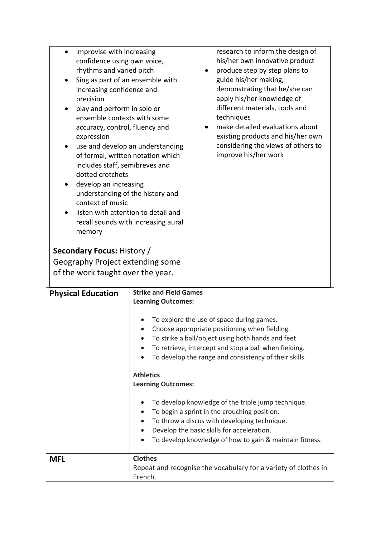| improvise with increasing<br>confidence using own voice,<br>rhythms and varied pitch<br>Sing as part of an ensemble with<br>٠<br>increasing confidence and<br>precision<br>play and perform in solo or<br>ensemble contexts with some<br>accuracy, control, fluency and<br>expression<br>use and develop an understanding<br>$\bullet$<br>of formal, written notation which<br>includes staff, semibreves and<br>dotted crotchets<br>develop an increasing<br>$\bullet$<br>understanding of the history and<br>context of music<br>listen with attention to detail and<br>$\bullet$<br>recall sounds with increasing aural<br>memory<br><b>Secondary Focus: History /</b><br>Geography Project extending some<br>of the work taught over the year. |                                                                                                                                                                                                                                                                                                                                                                                                                                                                                                                                                                                                                                                               | research to inform the design of<br>his/her own innovative product<br>produce step by step plans to<br>$\bullet$<br>guide his/her making,<br>demonstrating that he/she can<br>apply his/her knowledge of<br>different materials, tools and<br>techniques<br>make detailed evaluations about<br>existing products and his/her own<br>considering the views of others to<br>improve his/her work |
|----------------------------------------------------------------------------------------------------------------------------------------------------------------------------------------------------------------------------------------------------------------------------------------------------------------------------------------------------------------------------------------------------------------------------------------------------------------------------------------------------------------------------------------------------------------------------------------------------------------------------------------------------------------------------------------------------------------------------------------------------|---------------------------------------------------------------------------------------------------------------------------------------------------------------------------------------------------------------------------------------------------------------------------------------------------------------------------------------------------------------------------------------------------------------------------------------------------------------------------------------------------------------------------------------------------------------------------------------------------------------------------------------------------------------|------------------------------------------------------------------------------------------------------------------------------------------------------------------------------------------------------------------------------------------------------------------------------------------------------------------------------------------------------------------------------------------------|
| <b>Physical Education</b>                                                                                                                                                                                                                                                                                                                                                                                                                                                                                                                                                                                                                                                                                                                          | <b>Strike and Field Games</b><br><b>Learning Outcomes:</b><br>To explore the use of space during games.<br>Choose appropriate positioning when fielding.<br>To strike a ball/object using both hands and feet.<br>To retrieve, intercept and stop a ball when fielding.<br>To develop the range and consistency of their skills.<br>$\bullet$<br><b>Athletics</b><br><b>Learning Outcomes:</b><br>To develop knowledge of the triple jump technique.<br>To begin a sprint in the crouching position.<br>To throw a discus with developing technique.<br>Develop the basic skills for acceleration.<br>To develop knowledge of how to gain & maintain fitness. |                                                                                                                                                                                                                                                                                                                                                                                                |
| <b>MFL</b>                                                                                                                                                                                                                                                                                                                                                                                                                                                                                                                                                                                                                                                                                                                                         | <b>Clothes</b><br>French.                                                                                                                                                                                                                                                                                                                                                                                                                                                                                                                                                                                                                                     | Repeat and recognise the vocabulary for a variety of clothes in                                                                                                                                                                                                                                                                                                                                |